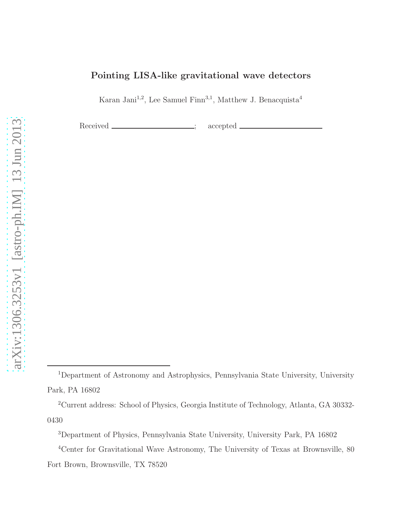# Pointing LISA-like gravitational wave detectors

Karan Jani<sup>1,2</sup>, Lee Samuel Finn<sup>3,1</sup>, Matthew J. Benacquista<sup>4</sup>

Received \_\_\_\_\_\_\_\_\_\_\_\_\_\_\_\_\_\_\_\_; accepted

<sup>1</sup>Department of Astronomy and Astrophysics, Pennsylvania State University, University Park, PA 16802

<sup>2</sup>Current address: School of Physics, Georgia Institute of Technology, Atlanta, GA 30332- 0430

<sup>3</sup>Department of Physics, Pennsylvania State University, University Park, PA 16802

<sup>4</sup>Center for Gravitational Wave Astronomy, The University of Texas at Brownsville, 80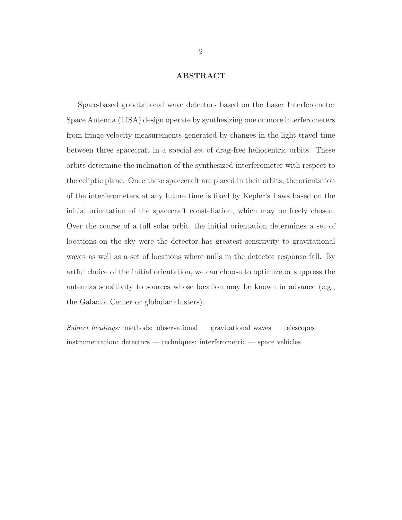## ABSTRACT

Space-based gravitational wave detectors based on the Laser Interferometer Space Antenna (LISA) design operate by synthesizing one or more interferometers from fringe velocity measurements generated by changes in the light travel time between three spacecraft in a special set of drag-free heliocentric orbits. These orbits determine the inclination of the synthesized interferometer with respect to the ecliptic plane. Once these spacecraft are placed in their orbits, the orientation of the interferometers at any future time is fixed by Kepler's Laws based on the initial orientation of the spacecraft constellation, which may be freely chosen. Over the course of a full solar orbit, the initial orientation determines a set of locations on the sky were the detector has greatest sensitivity to gravitational waves as well as a set of locations where nulls in the detector response fall. By artful choice of the initial orientation, we can choose to optimize or suppress the antennas sensitivity to sources whose location may be known in advance (e.g., the Galactic Center or globular clusters).

 $Subject\ headings:$  methods: observational — gravitational waves — telescopes instrumentation: detectors — techniques: interferometric — space vehicles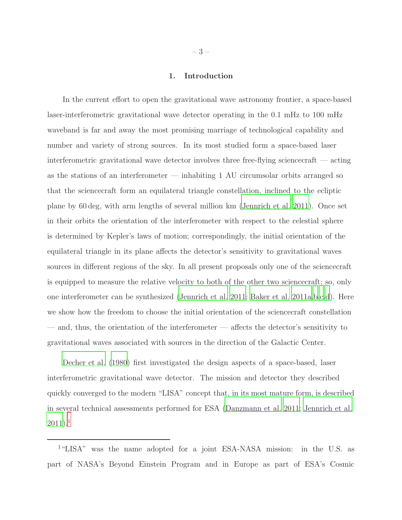### 1. Introduction

In the current effort to open the gravitational wave astronomy frontier, a space-based laser-interferometric gravitational wave detector operating in the 0.1 mHz to 100 mHz waveband is far and away the most promising marriage of technological capability and number and variety of strong sources. In its most studied form a space-based laser interferometric gravitational wave detector involves three free-flying sciencecraft — acting as the stations of an interferometer — inhabiting 1 AU circumsolar orbits arranged so that the sciencecraft form an equilateral triangle constellation, inclined to the ecliptic plane by 60 deg, with arm lengths of several million km [\(Jennrich et al. 2011](#page-22-0)). Once set in their orbits the orientation of the interferometer with respect to the celestial sphere is determined by Kepler's laws of motion; correspondingly, the initial orientation of the equilateral triangle in its plane affects the detector's sensitivity to gravitational waves sources in different regions of the sky. In all present proposals only one of the sciencecraft is equipped to measure the relative velocity to both of the other two sciencecraft; so, only one interferometer can be synthesized [\(Jennrich et al. 2011](#page-22-0); [Baker et al. 2011a](#page-21-0)[,b](#page-21-1)[,c](#page-21-2)[,d](#page-21-3)). Here we show how the freedom to choose the initial orientation of the sciencecraft constellation — and, thus, the orientation of the interferometer — affects the detector's sensitivity to gravitational waves associated with sources in the direction of the Galactic Center.

[Decher et al. \(1980\)](#page-22-1) first investigated the design aspects of a space-based, laser interferometric gravitational wave detector. The mission and detector they described quickly converged to the modern "LISA" concept that, in its most mature form, is described in several technical assessments performed for ESA [\(Danzmann](#page-22-2) et al. [2011;](#page-22-2) [Jennrich et al.](#page-22-0)  $2011$  $2011$  $2011$ ).<sup>1</sup>

<sup>1</sup>"LISA" was the name adopted for a joint ESA-NASA mission: in the U.S. as part of NASA's Beyond Einstein Program and in Europe as part of ESA's Cosmic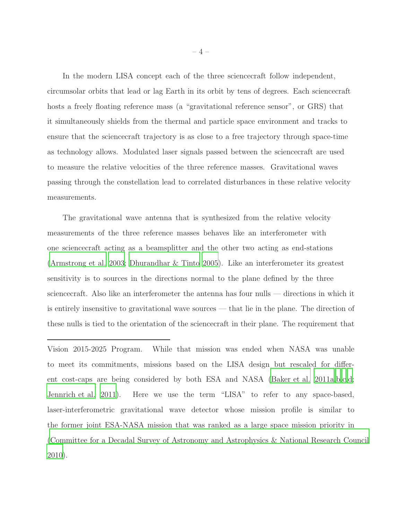In the modern LISA concept each of the three sciencecraft follow independent, circumsolar orbits that lead or lag Earth in its orbit by tens of degrees. Each sciencecraft hosts a freely floating reference mass (a "gravitational reference sensor", or GRS) that it simultaneously shields from the thermal and particle space environment and tracks to ensure that the sciencecraft trajectory is as close to a free trajectory through space-time as technology allows. Modulated laser signals passed between the sciencecraft are used to measure the relative velocities of the three reference masses. Gravitational waves passing through the constellation lead to correlated disturbances in these relative velocity measurements.

The gravitational wave antenna that is synthesized from the relative velocity measurements of the three reference masses behaves like an interferometer with one sciencecraft acting as a beamsplitter and the other two acting as end-stations [\(Armstrong et al. 2003;](#page-21-4) [Dhurandhar & Tinto 2005](#page-22-3)). Like an interferometer its greatest sensitivity is to sources in the directions normal to the plane defined by the three sciencecraft. Also like an interferometer the antenna has four nulls — directions in which it is entirely insensitive to gravitational wave sources — that lie in the plane. The direction of these nulls is tied to the orientation of the sciencecraft in their plane. The requirement that

Vision 2015-2025 Program. While that mission was ended when NASA was unable to meet its commitments, missions based on the LISA design but rescaled for different cost-caps are being considered by both ESA and NASA [\(Baker et al. 2011a](#page-21-0)[,b](#page-21-1)[,c](#page-21-2)[,d;](#page-21-3) [Jennrich et al. 2011\)](#page-22-0). Here we use the term "LISA" to refer to any space-based, laser-interferometric gravitational wave detector whose mission profile is similar to the former joint ESA-NASA mission that was ranked as a large space mission priority in [\(Committee for a Decadal Survey of Astronomy and Astrophysics](#page-22-4) & National Research Council [2010\)](#page-22-4).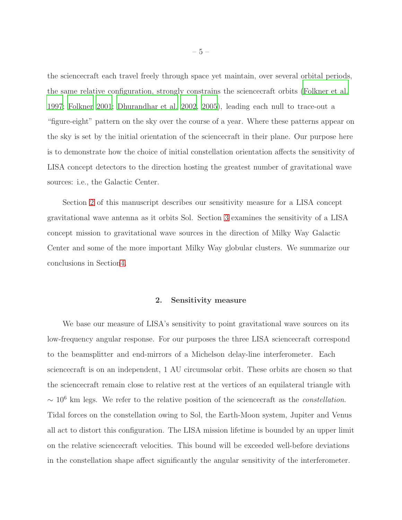the sciencecraft each travel freely through space yet maintain, over several orbital periods, the same relative configuration, strongly constrains the sciencecraft orbits [\(Folkner et al.](#page-22-5) [1997;](#page-22-5) [Folkner 2001;](#page-22-6) [Dhurandhar et al. 2002](#page-22-7), [2005](#page-22-8)), leading each null to trace-out a "figure-eight" pattern on the sky over the course of a year. Where these patterns appear on the sky is set by the initial orientation of the sciencecraft in their plane. Our purpose here is to demonstrate how the choice of initial constellation orientation affects the sensitivity of LISA concept detectors to the direction hosting the greatest number of gravitational wave sources: i.e., the Galactic Center.

Section [2](#page-4-0) of this manuscript describes our sensitivity measure for a LISA concept gravitational wave antenna as it orbits Sol. Section [3](#page-11-0) examines the sensitivity of a LISA concept mission to gravitational wave sources in the direction of Milky Way Galactic Center and some of the more important Milky Way globular clusters. We summarize our conclusions in Sectio[n4.](#page-16-0)

#### 2. Sensitivity measure

<span id="page-4-0"></span>We base our measure of LISA's sensitivity to point gravitational wave sources on its low-frequency angular response. For our purposes the three LISA sciencecraft correspond to the beamsplitter and end-mirrors of a Michelson delay-line interferometer. Each sciencecraft is on an independent, 1 AU circumsolar orbit. These orbits are chosen so that the sciencecraft remain close to relative rest at the vertices of an equilateral triangle with ∼ 10<sup>6</sup> km legs. We refer to the relative position of the sciencecraft as the *constellation*. Tidal forces on the constellation owing to Sol, the Earth-Moon system, Jupiter and Venus all act to distort this configuration. The LISA mission lifetime is bounded by an upper limit on the relative sciencecraft velocities. This bound will be exceeded well-before deviations in the constellation shape affect significantly the angular sensitivity of the interferometer.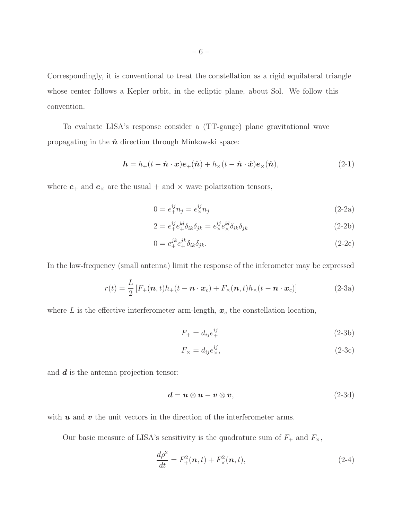Correspondingly, it is conventional to treat the constellation as a rigid equilateral triangle whose center follows a Kepler orbit, in the ecliptic plane, about Sol. We follow this convention.

To evaluate LISA's response consider a (TT-gauge) plane gravitational wave propagating in the  $\hat{n}$  direction through Minkowski space:

$$
\mathbf{h} = h_{+}(t - \hat{\mathbf{n}} \cdot \mathbf{x}) \mathbf{e}_{+}(\hat{\mathbf{n}}) + h_{\times}(t - \hat{\mathbf{n}} \cdot \hat{\mathbf{x}}) \mathbf{e}_{\times}(\hat{\mathbf{n}}), \tag{2-1}
$$

where  $e_+$  and  $e_\times$  are the usual + and  $\times$  wave polarization tensors,

$$
0 = e^{ij}_+ n_j = e^{ij}_\times n_j \tag{2-2a}
$$

$$
2 = e_+^{ij} e_+^{kl} \delta_{ik} \delta_{jk} = e_\times^{ij} e_\times^{kl} \delta_{ik} \delta_{jk}
$$
\n(2-2b)

$$
0 = e_+^{jk} e_+^{jk} \delta_{ik} \delta_{jk}.
$$
\n
$$
(2-2c)
$$

In the low-frequency (small antenna) limit the response of the inferometer may be expressed

$$
r(t) = \frac{L}{2} \left[ F_+(\boldsymbol{n}, t) h_+(t - \boldsymbol{n} \cdot \boldsymbol{x}_c) + F_\times(\boldsymbol{n}, t) h_\times(t - \boldsymbol{n} \cdot \boldsymbol{x}_c) \right]
$$
(2-3a)

where L is the effective interferometer arm-length,  $x_c$  the constellation location,

<span id="page-5-1"></span><span id="page-5-0"></span>
$$
F_{+} = d_{ij}e_{+}^{ij} \tag{2-3b}
$$

$$
F_{\times} = d_{ij} e_{\times}^{ij},\tag{2-3c}
$$

and  $\boldsymbol{d}$  is the antenna projection tensor:

$$
\mathbf{d} = \mathbf{u} \otimes \mathbf{u} - \mathbf{v} \otimes \mathbf{v},\tag{2-3d}
$$

with  $u$  and  $v$  the unit vectors in the direction of the interferometer arms.

Our basic measure of LISA's sensitivity is the quadrature sum of  $F_+$  and  $F_{\times}$ ,

$$
\frac{d\rho^2}{dt} = F^2_+(\mathbf{n}, t) + F^2_\times(\mathbf{n}, t),\tag{2-4}
$$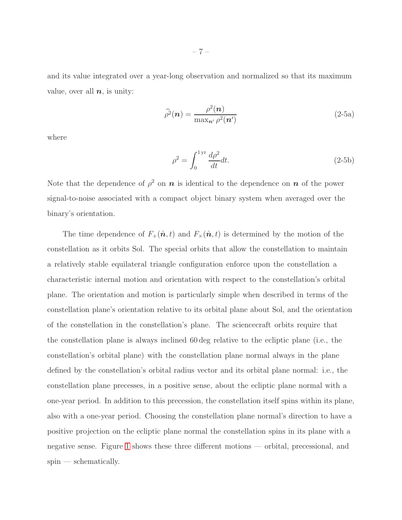and its value integrated over a year-long observation and normalized so that its maximum value, over all  $n$ , is unity:

<span id="page-6-0"></span>
$$
\widehat{\rho}^2(\boldsymbol{n}) = \frac{\rho^2(\boldsymbol{n})}{\max_{\boldsymbol{n}'} \rho^2(\boldsymbol{n}')} \tag{2-5a}
$$

where

$$
\rho^2 = \int_0^{1 \text{ yr}} \frac{d\rho^2}{dt} dt. \tag{2-5b}
$$

Note that the dependence of  $\rho^2$  on  $n$  is identical to the dependence on  $n$  of the power signal-to-noise associated with a compact object binary system when averaged over the binary's orientation.

The time dependence of  $F_+(\hat{\boldsymbol{n}}, t)$  and  $F_{\times}(\hat{\boldsymbol{n}}, t)$  is determined by the motion of the constellation as it orbits Sol. The special orbits that allow the constellation to maintain a relatively stable equilateral triangle configuration enforce upon the constellation a characteristic internal motion and orientation with respect to the constellation's orbital plane. The orientation and motion is particularly simple when described in terms of the constellation plane's orientation relative to its orbital plane about Sol, and the orientation of the constellation in the constellation's plane. The sciencecraft orbits require that the constellation plane is always inclined 60 deg relative to the ecliptic plane (i.e., the constellation's orbital plane) with the constellation plane normal always in the plane defined by the constellation's orbital radius vector and its orbital plane normal: i.e., the constellation plane precesses, in a positive sense, about the ecliptic plane normal with a one-year period. In addition to this precession, the constellation itself spins within its plane, also with a one-year period. Choosing the constellation plane normal's direction to have a positive projection on the ecliptic plane normal the constellation spins in its plane with a negative sense. Figure [1](#page-7-0) shows these three different motions — orbital, precessional, and  $spin$  — schematically.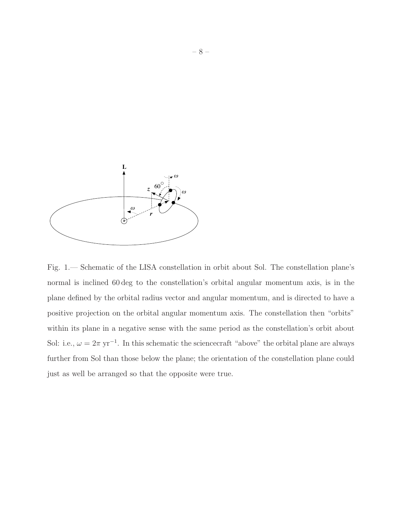

<span id="page-7-0"></span>Fig. 1.— Schematic of the LISA constellation in orbit about Sol. The constellation plane's normal is inclined 60 deg to the constellation's orbital angular momentum axis, is in the plane defined by the orbital radius vector and angular momentum, and is directed to have a positive projection on the orbital angular momentum axis. The constellation then "orbits" within its plane in a negative sense with the same period as the constellation's orbit about Sol: i.e.,  $\omega = 2\pi$  yr<sup>-1</sup>. In this schematic the science craft "above" the orbital plane are always further from Sol than those below the plane; the orientation of the constellation plane could just as well be arranged so that the opposite were true.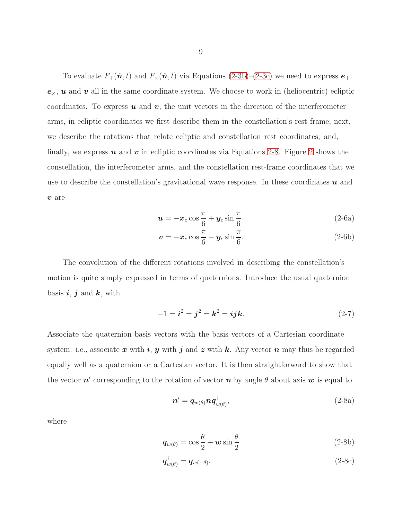To evaluate  $F_+(\hat{\boldsymbol{n}}, t)$  and  $F_\times(\hat{\boldsymbol{n}}, t)$  via Equations [\(2-3b\)](#page-5-0)–[\(2-3c\)](#page-5-1) we need to express  $e_+$ ,  $e_{\times}$ , u and v all in the same coordinate system. We choose to work in (heliocentric) ecliptic coordinates. To express  $u$  and  $v$ , the unit vectors in the direction of the interferometer arms, in ecliptic coordinates we first describe them in the constellation's rest frame; next, we describe the rotations that relate ecliptic and constellation rest coordinates; and, finally, we express  $u$  and  $v$  in ecliptic coordinates via Equations [2-8.](#page-8-0) Figure [2](#page-9-0) shows the constellation, the interferometer arms, and the constellation rest-frame coordinates that we use to describe the constellation's gravitational wave response. In these coordinates  $\boldsymbol{u}$  and v are

$$
\boldsymbol{u} = -\boldsymbol{x}_c \cos \frac{\pi}{6} + \boldsymbol{y}_c \sin \frac{\pi}{6} \tag{2-6a}
$$

$$
\boldsymbol{v} = -\boldsymbol{x}_c \cos \frac{\pi}{6} - \boldsymbol{y}_c \sin \frac{\pi}{6}.
$$
 (2-6b)

The convolution of the different rotations involved in describing the constellation's motion is quite simply expressed in terms of quaternions. Introduce the usual quaternion basis  $i, j$  and  $k$ , with

$$
-1 = i^2 = j^2 = k^2 = ijk.
$$
 (2-7)

Associate the quaternion basis vectors with the basis vectors of a Cartesian coordinate system: i.e., associate x with i, y with j and z with k. Any vector n may thus be regarded equally well as a quaternion or a Cartesian vector. It is then straightforward to show that the vector  $n'$  corresponding to the rotation of vector  $n$  by angle  $\theta$  about axis  $w$  is equal to

<span id="page-8-0"></span>
$$
\boldsymbol{n}' = \boldsymbol{q}_{w(\theta)} \boldsymbol{n} \boldsymbol{q}_{w(\theta)}^\dagger, \tag{2-8a}
$$

where

$$
\boldsymbol{q}_{w(\theta)} = \cos\frac{\theta}{2} + \boldsymbol{w}\sin\frac{\theta}{2} \tag{2-8b}
$$

$$
\boldsymbol{q}_{w(\theta)}^{\dagger} = \boldsymbol{q}_{w(-\theta)}.\tag{2-8c}
$$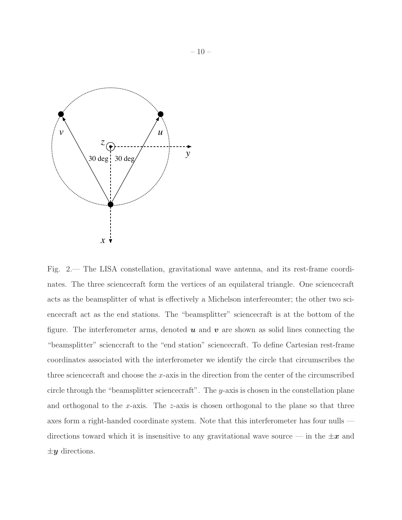

<span id="page-9-0"></span>Fig. 2.— The LISA constellation, gravitational wave antenna, and its rest-frame coordinates. The three sciencecraft form the vertices of an equilateral triangle. One sciencecraft acts as the beamsplitter of what is effectively a Michelson interfereomter; the other two sciencecraft act as the end stations. The "beamsplitter" sciencecraft is at the bottom of the figure. The interferometer arms, denoted  $u$  and  $v$  are shown as solid lines connecting the "beamsplitter" scienccraft to the "end station" sciencecraft. To define Cartesian rest-frame coordinates associated with the interferometer we identify the circle that circumscribes the three sciencecraft and choose the x-axis in the direction from the center of the circumscribed circle through the "beamsplitter sciencecraft". The y-axis is chosen in the constellation plane and orthogonal to the x-axis. The z-axis is chosen orthogonal to the plane so that three axes form a right-handed coordinate system. Note that this interferometer has four nulls directions toward which it is insensitive to any gravitational wave source — in the  $\pm x$  and  $\pm y$  directions.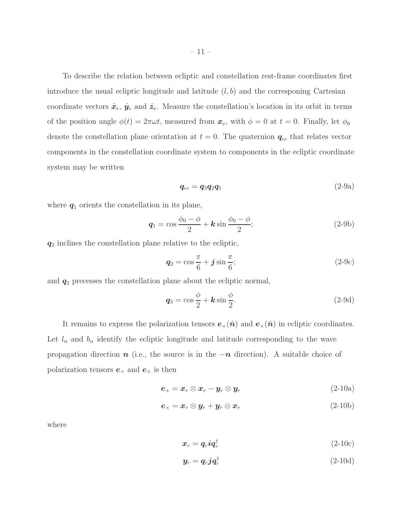To describe the relation between ecliptic and constellation rest-frame coordinates first introduce the usual ecliptic longitude and latitude  $(l, b)$  and the corresponing Cartesian coordinate vectors  $\hat{x}_e, \hat{y}_e$  and  $\hat{z}_e$ . Measure the constellation's location in its orbit in terms of the position angle  $\phi(t) = 2\pi\omega t$ , measured from  $x_e$ , with  $\phi = 0$  at  $t = 0$ . Finally, let  $\phi_0$ denote the constellation plane orientation at  $t = 0$ . The quaternion  $q_{ec}$  that relates vector components in the constellation coordinate system to components in the ecliptic coordinate system may be written

<span id="page-10-0"></span>
$$
q_{ec} = q_3 q_2 q_1 \tag{2-9a}
$$

where  $q_1$  orients the constellation in its plane,

$$
\boldsymbol{q}_1 = \cos\frac{\phi_0 - \phi}{2} + \boldsymbol{k}\sin\frac{\phi_0 - \phi}{2};
$$
\n(2-9b)

 $q_2$  inclines the constellation plane relative to the ecliptic,

$$
\boldsymbol{q}_2 = \cos\frac{\pi}{6} + \boldsymbol{j}\sin\frac{\pi}{6};\tag{2-9c}
$$

and  $q_3$  precesses the constellation plane about the ecliptic normal,

$$
\mathbf{q}_3 = \cos\frac{\phi}{2} + \mathbf{k}\sin\frac{\phi}{2}.\tag{2-9d}
$$

It remains to express the polarization tensors  $e_+(\hat{n})$  and  $e_{\times}(\hat{n})$  in ecliptic coordinates. Let  $l_n$  and  $b_n$  identify the ecliptic longitude and latitude corresponding to the wave propagation direction  $n$  (i.e., the source is in the  $-n$  direction). A suitable choice of polarization tensors  $e_+$  and  $e_\times$  is then

$$
\boldsymbol{e}_{+}=\boldsymbol{x}_{r}\otimes\boldsymbol{x}_{r}-\boldsymbol{y}_{r}\otimes\boldsymbol{y}_{r} \qquad \qquad (2\text{-}10a)
$$

$$
\boldsymbol{e}_{\times} = \boldsymbol{x}_r \otimes \boldsymbol{y}_r + \boldsymbol{y}_r \otimes \boldsymbol{x}_r \tag{2-10b}
$$

where

$$
x_r = q_r i q_r^{\dagger} \tag{2-10c}
$$

$$
\mathbf{y}_r = \mathbf{q}_r \mathbf{j} \mathbf{q}_r^\dagger \tag{2-10d}
$$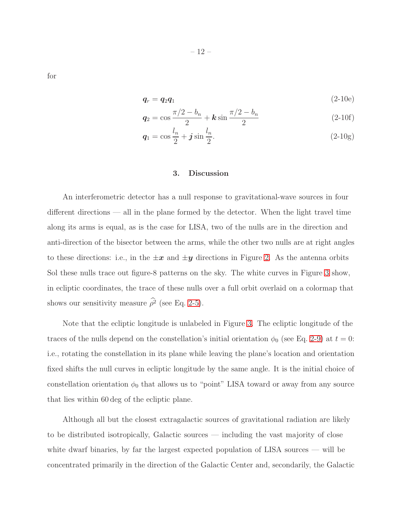for

$$
\boldsymbol{q}_r = \boldsymbol{q}_2 \boldsymbol{q}_1 \tag{2-10e}
$$

$$
q_2 = \cos \frac{\pi/2 - b_n}{2} + k \sin \frac{\pi/2 - b_n}{2}
$$
 (2-10f)

$$
\mathbf{q}_1 = \cos \frac{l_n}{2} + \mathbf{j} \sin \frac{l_n}{2}.\tag{2-10g}
$$

## 3. Discussion

<span id="page-11-0"></span>An interferometric detector has a null response to gravitational-wave sources in four different directions — all in the plane formed by the detector. When the light travel time along its arms is equal, as is the case for LISA, two of the nulls are in the direction and anti-direction of the bisector between the arms, while the other two nulls are at right angles to these directions: i.e., in the  $\pm x$  and  $\pm y$  directions in Figure [2.](#page-9-0) As the antenna orbits Sol these nulls trace out figure-8 patterns on the sky. The white curves in Figure [3](#page-14-0) show, in ecliptic coordinates, the trace of these nulls over a full orbit overlaid on a colormap that shows our sensitivity measure  $\rho^2$  (see Eq. [2-5\)](#page-6-0).

Note that the ecliptic longitude is unlabeled in Figure [3.](#page-14-0) The ecliptic longitude of the traces of the nulls depend on the constellation's initial orientation  $\phi_0$  (see Eq. [2-9\)](#page-10-0) at  $t = 0$ : i.e., rotating the constellation in its plane while leaving the plane's location and orientation fixed shifts the null curves in ecliptic longitude by the same angle. It is the initial choice of constellation orientation  $\phi_0$  that allows us to "point" LISA toward or away from any source that lies within 60 deg of the ecliptic plane.

Although all but the closest extragalactic sources of gravitational radiation are likely to be distributed isotropically, Galactic sources — including the vast majority of close white dwarf binaries, by far the largest expected population of LISA sources — will be concentrated primarily in the direction of the Galactic Center and, secondarily, the Galactic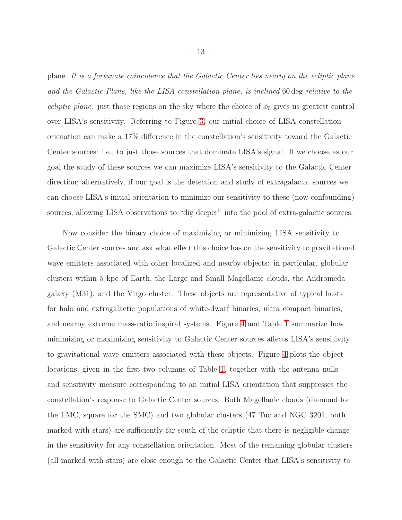plane. *It is a fortunate coincidence that the Galactic Center lies nearly on the ecliptic plane and the Galactic Plane, like the LISA constellation plane, is inclined* 60 deg *relative to the ecliptic plane:* just those regions on the sky where the choice of  $\phi_0$  gives us greatest control over LISA's sensitivity. Referring to Figure [3,](#page-14-0) our initial choice of LISA constellation orienation can make a 17% difference in the constellation's sensitivity toward the Galactic Center sources: i.e., to just those sources that dominate LISA's signal. If we choose as our goal the study of these sources we can maximize LISA's sensitivity to the Galactic Center direction; alternatively, if our goal is the detection and study of extragalactic sources we can choose LISA's initial orientation to minimize our sensitivity to these (now confounding) sources, allowing LISA observations to "dig deeper" into the pool of extra-galactic sources.

Now consider the binary choice of maximizing or minimizing LISA sensitivity to Galactic Center sources and ask what effect this choice has on the sensitivity to gravitational wave emitters associated with other localized and nearby objects: in particular, globular clusters within 5 kpc of Earth, the Large and Small Magellanic clouds, the Andromeda galaxy (M31), and the Virgo cluster. These objects are representative of typical hosts for halo and extragalactic populations of white-dwarf binaries, ultra compact binaries, and nearby extreme mass-ratio inspiral systems. Figure [4](#page-14-1) and Table [1](#page-15-0) summarize how minimizing or maximizing sensitivity to Galactic Center sources affects LISA's sensitivity to gravitational wave emitters associated with these objects. Figure [4](#page-14-1) plots the object locations, given in the first two columns of Table [1,](#page-15-0) together with the antenna nulls and sensitivity measure corresponding to an initial LISA orientation that suppresses the constellation's response to Galactic Center sources. Both Magellanic clouds (diamond for the LMC, square for the SMC) and two globular clusters (47 Tuc and NGC 3201, both marked with stars) are sufficiently far south of the ecliptic that there is negligible change in the sensitivity for any constellation orientation. Most of the remaining globular clusters (all marked with stars) are close enough to the Galactic Center that LISA's sensitivity to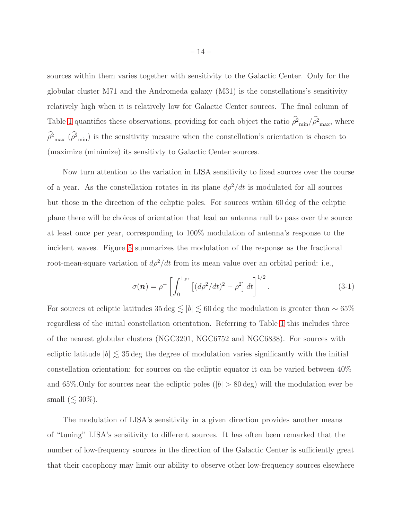sources within them varies together with sensitivity to the Galactic Center. Only for the globular cluster M71 and the Andromeda galaxy (M31) is the constellations's sensitivity relatively high when it is relatively low for Galactic Center sources. The final column of Table [1](#page-15-0) quantifies these observations, providing for each object the ratio  $\rho_{min}^2/\rho_{max}^2$ , where  $\rho_{\text{max}}^2$  ( $\rho_{\text{min}}^2$ ) is the sensitivity measure when the constellation's orientation is chosen to (maximize (minimize) its sensitivty to Galactic Center sources.

Now turn attention to the variation in LISA sensitivity to fixed sources over the course of a year. As the constellation rotates in its plane  $d\rho^2/dt$  is modulated for all sources but those in the direction of the ecliptic poles. For sources within 60 deg of the ecliptic plane there will be choices of orientation that lead an antenna null to pass over the source at least once per year, corresponding to 100% modulation of antenna's response to the incident waves. Figure [5](#page-17-0) summarizes the modulation of the response as the fractional root-mean-square variation of  $d\rho^2/dt$  from its mean value over an orbital period: i.e.,

$$
\sigma(\mathbf{n}) = \rho^{-} \left[ \int_0^{1 \text{ yr}} \left[ (d\rho^2/dt)^2 - \rho^2 \right] dt \right]^{1/2}.
$$
 (3-1)

For sources at ecliptic latitudes 35 deg  $\lesssim |b| \lesssim 60$  deg the modulation is greater than ∼ 65% regardless of the initial constellation orientation. Referring to Table [1](#page-15-0) this includes three of the nearest globular clusters (NGC3201, NGC6752 and NGC6838). For sources with ecliptic latitude  $|b| \lesssim 35 \text{ deg}$  the degree of modulation varies significantly with the initial constellation orientation: for sources on the ecliptic equator it can be varied between 40% and 65%. Only for sources near the ecliptic poles ( $|b| > 80 \text{ deg}$ ) will the modulation ever be small ( $\lesssim 30\%$ ).

The modulation of LISA's sensitivity in a given direction provides another means of "tuning" LISA's sensitivity to different sources. It has often been remarked that the number of low-frequency sources in the direction of the Galactic Center is sufficiently great that their cacophony may limit our ability to observe other low-frequency sources elsewhere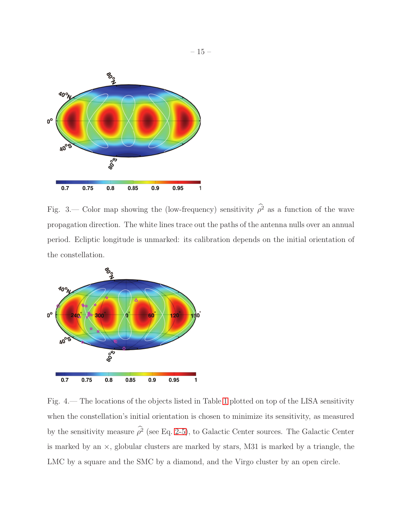

<span id="page-14-0"></span>Fig. 3.— Color map showing the (low-frequency) sensitivity  $\rho^2$  as a function of the wave propagation direction. The white lines trace out the paths of the antenna nulls over an annual period. Ecliptic longitude is unmarked: its calibration depends on the initial orientation of the constellation.



<span id="page-14-1"></span>Fig. 4.— The locations of the objects listed in Table [1](#page-15-0) plotted on top of the LISA sensitivity when the constellation's initial orientation is chosen to minimize its sensitivity, as measured by the sensitivity measure  $\rho^2$  (see Eq. [2-5\)](#page-6-0), to Galactic Center sources. The Galactic Center is marked by an ×, globular clusters are marked by stars, M31 is marked by a triangle, the LMC by a square and the SMC by a diamond, and the Virgo cluster by an open circle.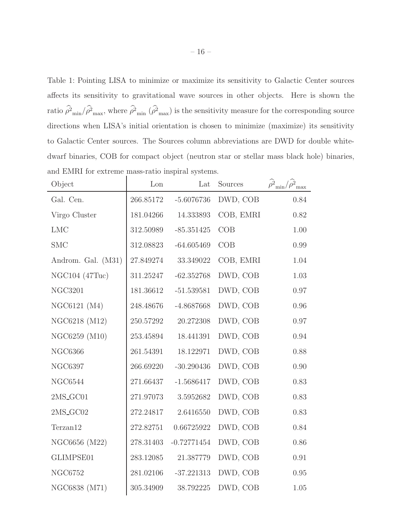<span id="page-15-0"></span>Table 1: Pointing LISA to minimize or maximize its sensitivity to Galactic Center sources affects its sensitivity to gravitational wave sources in other objects. Here is shown the ratio  $\rho_{min}^2/\rho_{max}^2$ , where  $\rho_{min}^2$  ( $\rho_{max}^2$ ) is the sensitivity measure for the corresponding source directions when LISA's initial orientation is chosen to minimize (maximize) its sensitivity to Galactic Center sources. The Sources column abbreviations are DWD for double whitedwarf binaries, COB for compact object (neutron star or stellar mass black hole) binaries, and EMRI for extreme mass-ratio inspiral systems.

| Object             | Lon       | Lat           | Sources   | $\hat{\rho^2}_{\rm min}/\hat{\rho^2}_{\rm max}$ |
|--------------------|-----------|---------------|-----------|-------------------------------------------------|
| Gal. Cen.          | 266.85172 | $-5.6076736$  | DWD, COB  | 0.84                                            |
| Virgo Cluster      | 181.04266 | 14.333893     | COB, EMRI | 0.82                                            |
| <b>LMC</b>         | 312.50989 | $-85.351425$  | COB       | 1.00                                            |
| <b>SMC</b>         | 312.08823 | $-64.605469$  | COB       | 0.99                                            |
| Androm. Gal. (M31) | 27.849274 | 33.349022     | COB, EMRI | 1.04                                            |
| NGC104 (47Tuc)     | 311.25247 | $-62.352768$  | DWD, COB  | 1.03                                            |
| <b>NGC3201</b>     | 181.36612 | $-51.539581$  | DWD, COB  | 0.97                                            |
| NGC6121 (M4)       | 248.48676 | $-4.8687668$  | DWD, COB  | 0.96                                            |
| NGC6218 (M12)      | 250.57292 | 20.272308     | DWD, COB  | $0.97\,$                                        |
| NGC6259 (M10)      | 253.45894 | 18.441391     | DWD, COB  | 0.94                                            |
| <b>NGC6366</b>     | 261.54391 | 18.122971     | DWD, COB  | 0.88                                            |
| <b>NGC6397</b>     | 266.69220 | $-30.290436$  | DWD, COB  | 0.90                                            |
| <b>NGC6544</b>     | 271.66437 | $-1.5686417$  | DWD, COB  | 0.83                                            |
| $2MS_GCO1$         | 271.97073 | 3.5952682     | DWD, COB  | 0.83                                            |
| 2MS_GC02           | 272.24817 | 2.6416550     | DWD, COB  | 0.83                                            |
| Terzan12           | 272.82751 | 0.66725922    | DWD, COB  | 0.84                                            |
| NGC6656 (M22)      | 278.31403 | $-0.72771454$ | DWD, COB  | 0.86                                            |
| GLIMPSE01          | 283.12085 | 21.387779     | DWD, COB  | 0.91                                            |
| <b>NGC6752</b>     | 281.02106 | $-37.221313$  | DWD, COB  | 0.95                                            |
| NGC6838 (M71)      | 305.34909 | 38.792225     | DWD, COB  | $1.05\,$                                        |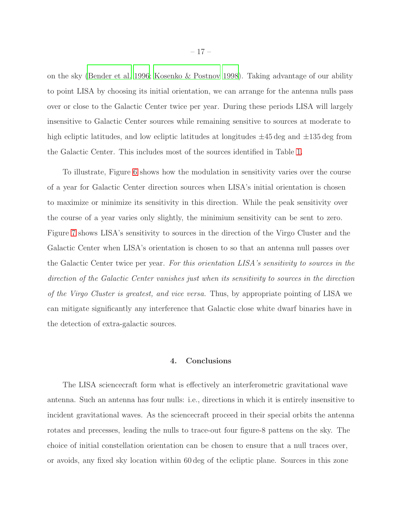on the sky [\(Bender et al. 1996;](#page-21-5) [Kosenko & Postnov 1998](#page-22-9)). Taking advantage of our ability to point LISA by choosing its initial orientation, we can arrange for the antenna nulls pass over or close to the Galactic Center twice per year. During these periods LISA will largely insensitive to Galactic Center sources while remaining sensitive to sources at moderate to high ecliptic latitudes, and low ecliptic latitudes at longitudes  $\pm 45$  deg and  $\pm 135$  deg from the Galactic Center. This includes most of the sources identified in Table [1.](#page-15-0)

To illustrate, Figure [6](#page-17-1) shows how the modulation in sensitivity varies over the course of a year for Galactic Center direction sources when LISA's initial orientation is chosen to maximize or minimize its sensitivity in this direction. While the peak sensitivity over the course of a year varies only slightly, the minimium sensitivity can be sent to zero. Figure [7](#page-18-0) shows LISA's sensitivity to sources in the direction of the Virgo Cluster and the Galactic Center when LISA's orientation is chosen to so that an antenna null passes over the Galactic Center twice per year. *For this orientation LISA's sensitivity to sources in the direction of the Galactic Center vanishes just when its sensitivity to sources in the direction of the Virgo Cluster is greatest, and vice versa.* Thus, by appropriate pointing of LISA we can mitigate significantly any interference that Galactic close white dwarf binaries have in the detection of extra-galactic sources.

## 4. Conclusions

<span id="page-16-0"></span>The LISA sciencecraft form what is effectively an interferometric gravitational wave antenna. Such an antenna has four nulls: i.e., directions in which it is entirely insensitive to incident gravitational waves. As the sciencecraft proceed in their special orbits the antenna rotates and precesses, leading the nulls to trace-out four figure-8 pattens on the sky. The choice of initial constellation orientation can be chosen to ensure that a null traces over, or avoids, any fixed sky location within 60 deg of the ecliptic plane. Sources in this zone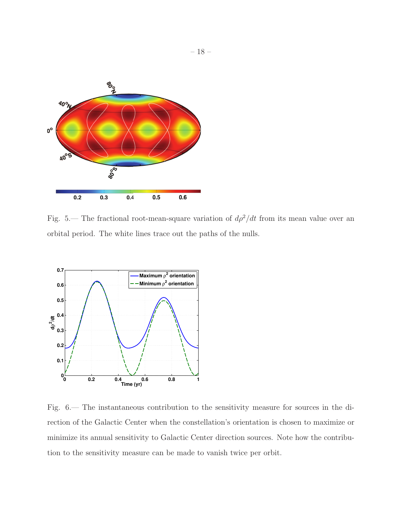

<span id="page-17-0"></span>Fig. 5.— The fractional root-mean-square variation of  $d\rho^2/dt$  from its mean value over an orbital period. The white lines trace out the paths of the nulls.



<span id="page-17-1"></span>Fig. 6.— The instantaneous contribution to the sensitivity measure for sources in the direction of the Galactic Center when the constellation's orientation is chosen to maximize or minimize its annual sensitivity to Galactic Center direction sources. Note how the contribution to the sensitivity measure can be made to vanish twice per orbit.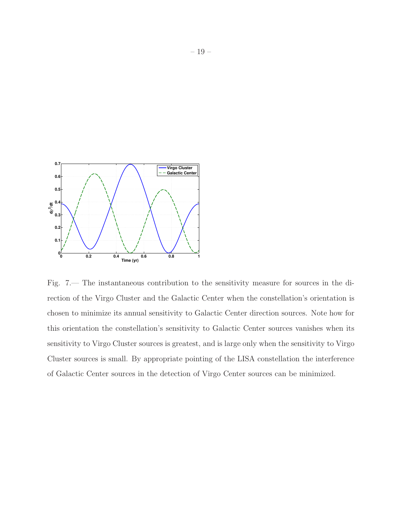

<span id="page-18-0"></span>Fig. 7.— The instantaneous contribution to the sensitivity measure for sources in the direction of the Virgo Cluster and the Galactic Center when the constellation's orientation is chosen to minimize its annual sensitivity to Galactic Center direction sources. Note how for this orientation the constellation's sensitivity to Galactic Center sources vanishes when its sensitivity to Virgo Cluster sources is greatest, and is large only when the sensitivity to Virgo Cluster sources is small. By appropriate pointing of the LISA constellation the interference of Galactic Center sources in the detection of Virgo Center sources can be minimized.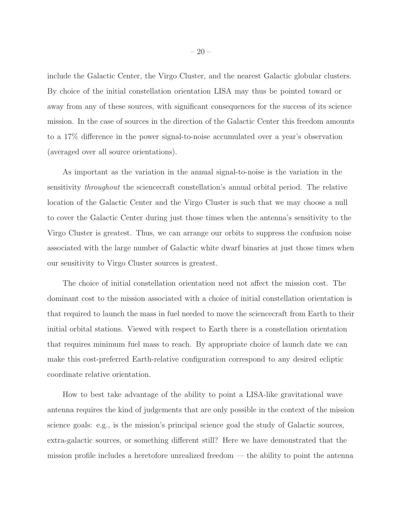include the Galactic Center, the Virgo Cluster, and the nearest Galactic globular clusters. By choice of the initial constellation orientation LISA may thus be pointed toward or away from any of these sources, with significant consequences for the success of its science mission. In the case of sources in the direction of the Galactic Center this freedom amounts to a 17% difference in the power signal-to-noise accumulated over a year's observation (averaged over all source orientations).

As important as the variation in the annual signal-to-noise is the variation in the sensitivity *throughout* the sciencecraft constellation's annual orbital period. The relative location of the Galactic Center and the Virgo Cluster is such that we may choose a null to cover the Galactic Center during just those times when the antenna's sensitivity to the Virgo Cluster is greatest. Thus, we can arrange our orbits to suppress the confusion noise associated with the large number of Galactic white dwarf binaries at just those times when our sensitivity to Virgo Cluster sources is greatest.

The choice of initial constellation orientation need not affect the mission cost. The dominant cost to the mission associated with a choice of initial constellation orientation is that required to launch the mass in fuel needed to move the sciencecraft from Earth to their initial orbital stations. Viewed with respect to Earth there is a constellation orientation that requires minimum fuel mass to reach. By appropriate choice of launch date we can make this cost-preferred Earth-relative configuration correspond to any desired ecliptic coordinate relative orientation.

How to best take advantage of the ability to point a LISA-like gravitational wave antenna requires the kind of judgements that are only possible in the context of the mission science goals: e.g., is the mission's principal science goal the study of Galactic sources, extra-galactic sources, or something different still? Here we have demonstrated that the mission profile includes a heretofore unrealized freedom — the ability to point the antenna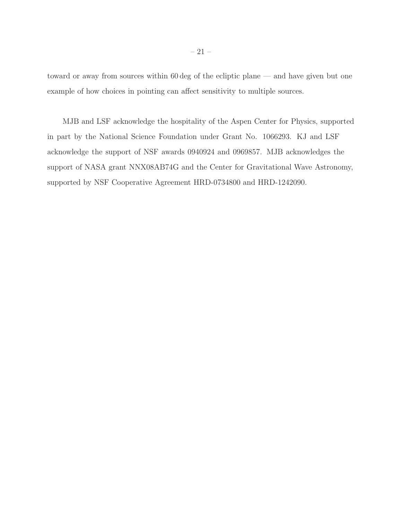toward or away from sources within 60 deg of the ecliptic plane — and have given but one example of how choices in pointing can affect sensitivity to multiple sources.

MJB and LSF acknowledge the hospitality of the Aspen Center for Physics, supported in part by the National Science Foundation under Grant No. 1066293. KJ and LSF acknowledge the support of NSF awards 0940924 and 0969857. MJB acknowledges the support of NASA grant NNX08AB74G and the Center for Gravitational Wave Astronomy, supported by NSF Cooperative Agreement HRD-0734800 and HRD-1242090.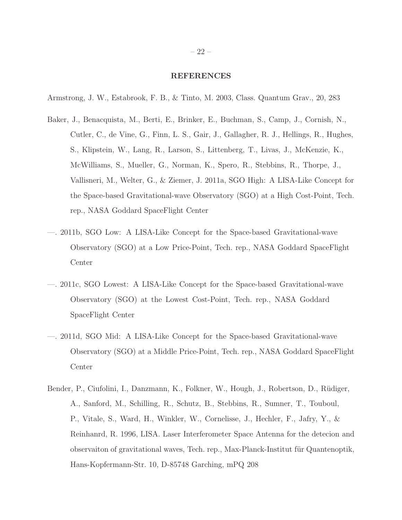#### REFERENCES

<span id="page-21-4"></span>Armstrong, J. W., Estabrook, F. B., & Tinto, M. 2003, Class. Quantum Grav., 20, 283

- <span id="page-21-0"></span>Baker, J., Benacquista, M., Berti, E., Brinker, E., Buchman, S., Camp, J., Cornish, N., Cutler, C., de Vine, G., Finn, L. S., Gair, J., Gallagher, R. J., Hellings, R., Hughes, S., Klipstein, W., Lang, R., Larson, S., Littenberg, T., Livas, J., McKenzie, K., McWilliams, S., Mueller, G., Norman, K., Spero, R., Stebbins, R., Thorpe, J., Vallisneri, M., Welter, G., & Ziemer, J. 2011a, SGO High: A LISA-Like Concept for the Space-based Gravitational-wave Observatory (SGO) at a High Cost-Point, Tech. rep., NASA Goddard SpaceFlight Center
- <span id="page-21-1"></span>—. 2011b, SGO Low: A LISA-Like Concept for the Space-based Gravitational-wave Observatory (SGO) at a Low Price-Point, Tech. rep., NASA Goddard SpaceFlight Center
- <span id="page-21-2"></span>—. 2011c, SGO Lowest: A LISA-Like Concept for the Space-based Gravitational-wave Observatory (SGO) at the Lowest Cost-Point, Tech. rep., NASA Goddard SpaceFlight Center
- <span id="page-21-3"></span>—. 2011d, SGO Mid: A LISA-Like Concept for the Space-based Gravitational-wave Observatory (SGO) at a Middle Price-Point, Tech. rep., NASA Goddard SpaceFlight Center
- <span id="page-21-5"></span>Bender, P., Ciufolini, I., Danzmann, K., Folkner, W., Hough, J., Robertson, D., Rüdiger, A., Sanford, M., Schilling, R., Schutz, B., Stebbins, R., Sumner, T., Touboul, P., Vitale, S., Ward, H., Winkler, W., Cornelisse, J., Hechler, F., Jafry, Y., & Reinhanrd, R. 1996, LISA. Laser Interferometer Space Antenna for the detecion and observaiton of gravitational waves, Tech. rep., Max-Planck-Institut für Quantenoptik, Hans-Kopfermann-Str. 10, D-85748 Garching, mPQ 208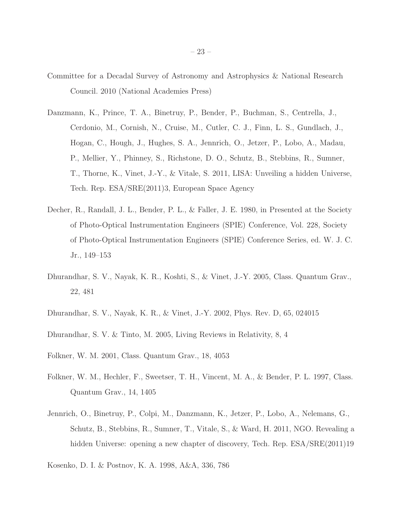- <span id="page-22-4"></span>Committee for a Decadal Survey of Astronomy and Astrophysics & National Research Council. 2010 (National Academies Press)
- <span id="page-22-2"></span>Danzmann, K., Prince, T. A., Binetruy, P., Bender, P., Buchman, S., Centrella, J., Cerdonio, M., Cornish, N., Cruise, M., Cutler, C. J., Finn, L. S., Gundlach, J., Hogan, C., Hough, J., Hughes, S. A., Jennrich, O., Jetzer, P., Lobo, A., Madau, P., Mellier, Y., Phinney, S., Richstone, D. O., Schutz, B., Stebbins, R., Sumner, T., Thorne, K., Vinet, J.-Y., & Vitale, S. 2011, LISA: Unveiling a hidden Universe, Tech. Rep. ESA/SRE(2011)3, European Space Agency
- <span id="page-22-1"></span>Decher, R., Randall, J. L., Bender, P. L., & Faller, J. E. 1980, in Presented at the Society of Photo-Optical Instrumentation Engineers (SPIE) Conference, Vol. 228, Society of Photo-Optical Instrumentation Engineers (SPIE) Conference Series, ed. W. J. C. Jr., 149–153
- <span id="page-22-8"></span>Dhurandhar, S. V., Nayak, K. R., Koshti, S., & Vinet, J.-Y. 2005, Class. Quantum Grav., 22, 481
- <span id="page-22-7"></span>Dhurandhar, S. V., Nayak, K. R., & Vinet, J.-Y. 2002, Phys. Rev. D, 65, 024015
- <span id="page-22-3"></span>Dhurandhar, S. V. & Tinto, M. 2005, Living Reviews in Relativity, 8, 4
- <span id="page-22-6"></span>Folkner, W. M. 2001, Class. Quantum Grav., 18, 4053
- <span id="page-22-5"></span>Folkner, W. M., Hechler, F., Sweetser, T. H., Vincent, M. A., & Bender, P. L. 1997, Class. Quantum Grav., 14, 1405
- <span id="page-22-0"></span>Jennrich, O., Binetruy, P., Colpi, M., Danzmann, K., Jetzer, P., Lobo, A., Nelemans, G., Schutz, B., Stebbins, R., Sumner, T., Vitale, S., & Ward, H. 2011, NGO. Revealing a hidden Universe: opening a new chapter of discovery, Tech. Rep.  $ESA/SRE(2011)19$
- <span id="page-22-9"></span>Kosenko, D. I. & Postnov, K. A. 1998, A&A, 336, 786